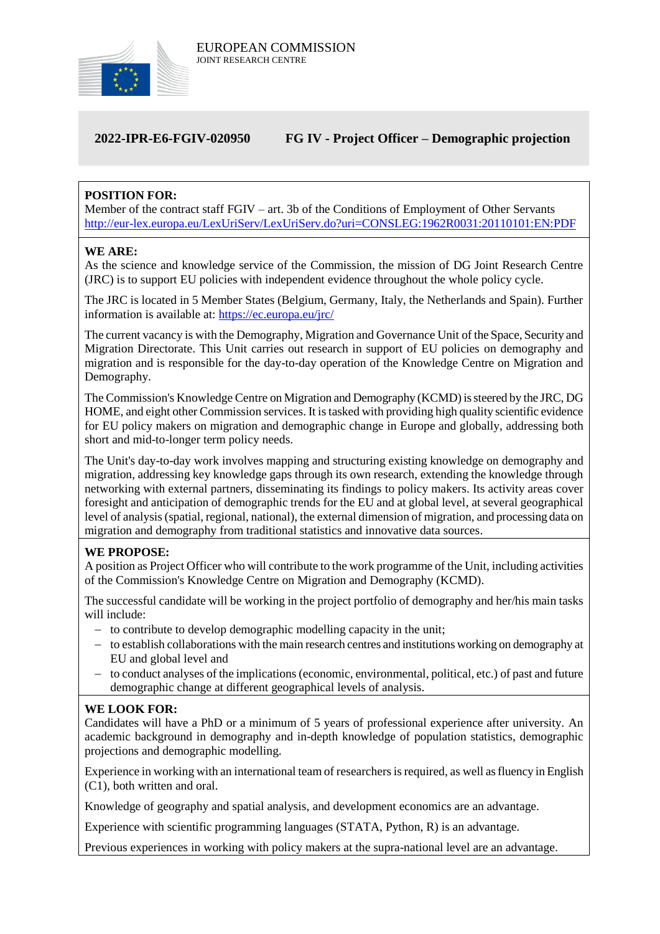

# **2022-IPR-E6-FGIV-020950 FG IV - Project Officer – Demographic projection**

# **POSITION FOR:**

Member of the contract staff FGIV – art. 3b of the Conditions of Employment of Other Servants <http://eur-lex.europa.eu/LexUriServ/LexUriServ.do?uri=CONSLEG:1962R0031:20110101:EN:PDF>

#### **WE ARE:**

As the science and knowledge service of the Commission, the mission of DG Joint Research Centre (JRC) is to support EU policies with independent evidence throughout the whole policy cycle.

The JRC is located in 5 Member States (Belgium, Germany, Italy, the Netherlands and Spain). Further information is available at: <https://ec.europa.eu/jrc/>

The current vacancy is with the Demography, Migration and Governance Unit of the Space, Security and Migration Directorate. This Unit carries out research in support of EU policies on demography and migration and is responsible for the day-to-day operation of the Knowledge Centre on Migration and Demography.

The Commission's Knowledge Centre on Migration and Demography (KCMD) is steered by the JRC, DG HOME, and eight other Commission services. It istasked with providing high quality scientific evidence for EU policy makers on migration and demographic change in Europe and globally, addressing both short and mid-to-longer term policy needs.

The Unit's day-to-day work involves mapping and structuring existing knowledge on demography and migration, addressing key knowledge gaps through its own research, extending the knowledge through networking with external partners, disseminating its findings to policy makers. Its activity areas cover foresight and anticipation of demographic trends for the EU and at global level, at several geographical level of analysis (spatial, regional, national), the external dimension of migration, and processing data on migration and demography from traditional statistics and innovative data sources.

# **WE PROPOSE:**

A position as Project Officer who will contribute to the work programme of the Unit, including activities of the Commission's Knowledge Centre on Migration and Demography (KCMD).

The successful candidate will be working in the project portfolio of demography and her/his main tasks will include:

- to contribute to develop demographic modelling capacity in the unit;
- $-$  to establish collaborations with the main research centres and institutions working on demography at EU and global level and
- to conduct analyses of the implications (economic, environmental, political, etc.) of past and future demographic change at different geographical levels of analysis.

# **WE LOOK FOR:**

Candidates will have a PhD or a minimum of 5 years of professional experience after university. An academic background in demography and in-depth knowledge of population statistics, demographic projections and demographic modelling.

Experience in working with an international team of researchers is required, as well as fluency in English (C1), both written and oral.

Knowledge of geography and spatial analysis, and development economics are an advantage.

Experience with scientific programming languages (STATA, Python, R) is an advantage.

Previous experiences in working with policy makers at the supra-national level are an advantage.